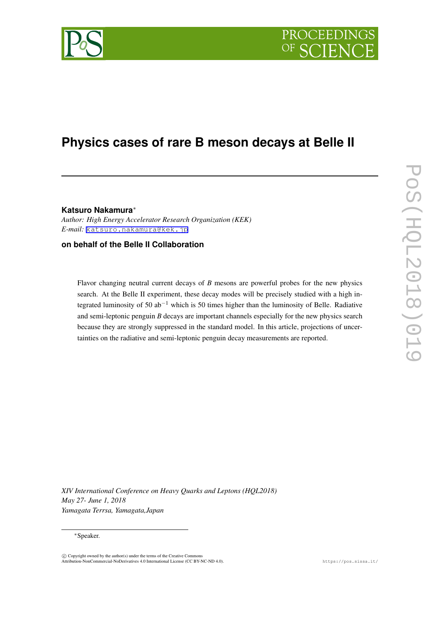

# **PROCEEDI**

# **Physics cases of rare B meson decays at Belle II**

**Katsuro Nakamura***∗ Author: High Energy Accelerator Research Organization (KEK) E-mail:* [katsuro.nakamura@kek.jp](mailto:katsuro.nakamura@kek.jp)

#### **on behalf of the Belle II Collaboration**

Flavor changing neutral current decays of *B* mesons are powerful probes for the new physics search. At the Belle II experiment, these decay modes will be precisely studied with a high integrated luminosity of 50 ab*−*<sup>1</sup> which is 50 times higher than the luminosity of Belle. Radiative and semi-leptonic penguin *B* decays are important channels especially for the new physics search because they are strongly suppressed in the standard model. In this article, projections of uncertainties on the radiative and semi-leptonic penguin decay measurements are reported.

*XIV International Conference on Heavy Quarks and Leptons (HQL2018) May 27- June 1, 2018 Yamagata Terrsa, Yamagata,Japan*

#### *∗*Speaker.

 $\circled{c}$  Copyright owned by the author(s) under the terms of the Creative Common Attribution-NonCommercial-NoDerivatives 4.0 International License (CC BY-NC-ND 4.0). https://pos.sissa.it/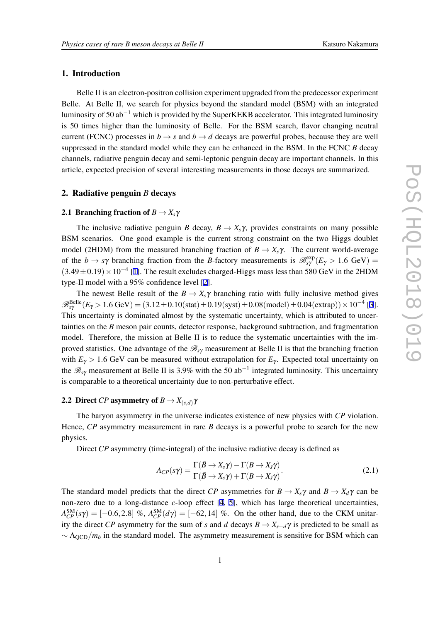#### 1. Introduction

Belle II is an electron-positron collision experiment upgraded from the predecessor experiment Belle. At Belle II, we search for physics beyond the standard model (BSM) with an integrated luminosity of 50 ab*−*<sup>1</sup> which is provided by the SuperKEKB accelerator. This integrated luminosity is 50 times higher than the luminosity of Belle. For the BSM search, flavor changing neutral current (FCNC) processes in  $b \rightarrow s$  and  $b \rightarrow d$  decays are powerful probes, because they are well suppressed in the standard model while they can be enhanced in the BSM. In the FCNC *B* decay channels, radiative penguin decay and semi-leptonic penguin decay are important channels. In this article, expected precision of several interesting measurements in those decays are summarized.

#### 2. Radiative penguin *B* decays

#### 2.1 Branching fraction of  $B \to X_s \gamma$

The inclusive radiative penguin *B* decay,  $B \to X_s \gamma$ , provides constraints on many possible BSM scenarios. One good example is the current strong constraint on the two Higgs doublet model (2HDM) from the measured branching fraction of  $B \to X_s \gamma$ . The current world-average of the  $b \to s\gamma$  branching fraction from the *B*-factory measurements is  $\mathcal{B}_{s\gamma}^{\text{exp}}(E_{\gamma} > 1.6 \text{ GeV}) =$ (3*.*49*±*0*.*19)*×*10*−*<sup>4</sup> [\[1\]](#page-5-0). The result excludes charged-Higgs mass less than 580 GeV in the 2HDM type-II model with a 95% confidence level [\[2\]](#page-5-0).

The newest Belle result of the  $B \to X_s \gamma$  branching ratio with fully inclusive method gives  $\mathscr{B}^{\text{Belle}}_{s\gamma}(E_\gamma > 1.6 \text{ GeV}) = (3.12 \pm 0.10 \text{(stat)} \pm 0.19 \text{(syst)} \pm 0.08 \text{(model)} \pm 0.04 \text{(extrap)}) \times 10^{-4}$  [\[3\]](#page-5-0). This uncertainty is dominated almost by the systematic uncertainty, which is attributed to uncertainties on the *B* meson pair counts, detector response, background subtraction, and fragmentation model. Therefore, the mission at Belle II is to reduce the systematic uncertainties with the improved statistics. One advantage of the *Bs*<sup>γ</sup> measurement at Belle II is that the branching fraction with  $E<sub>\gamma</sub> > 1.6$  GeV can be measured without extrapolation for  $E<sub>\gamma</sub>$ . Expected total uncertainty on the *Bs*<sup>γ</sup> measurement at Belle II is 3.9% with the 50 ab*−*<sup>1</sup> integrated luminosity. This uncertainty is comparable to a theoretical uncertainty due to non-perturbative effect.

#### 2.2 Direct *CP* asymmetry of  $B \to X_{(s,d)}\gamma$

The baryon asymmetry in the universe indicates existence of new physics with *CP* violation. Hence, *CP* asymmetry measurement in rare *B* decays is a powerful probe to search for the new physics.

Direct *CP* asymmetry (time-integral) of the inclusive radiative decay is defined as

$$
A_{CP}(s\gamma) = \frac{\Gamma(\bar{B} \to X_s \gamma) - \Gamma(B \to X_{\bar{s}} \gamma)}{\Gamma(\bar{B} \to X_s \gamma) + \Gamma(B \to X_{\bar{s}} \gamma)}.
$$
\n(2.1)

The standard model predicts that the direct *CP* asymmetries for  $B \to X_s \gamma$  and  $B \to X_d \gamma$  can be non-zero due to a long-distance *c*-loop effect [\[4,](#page-5-0) [5](#page-5-0)], which has large theoretical uncertainties,  $A_{CP}^{SM}(s\gamma) = [-0.6, 2.8]$  %,  $A_{CP}^{SM}(d\gamma) = [-62, 14]$  %. On the other hand, due to the CKM unitarity the direct *CP* asymmetry for the sum of *s* and *d* decays  $B \to X_{s+d} \gamma$  is predicted to be small as  $~\sim$  Λ<sub>OCD</sub>/*m<sub>b</sub>* in the standard model. The asymmetry measurement is sensitive for BSM which can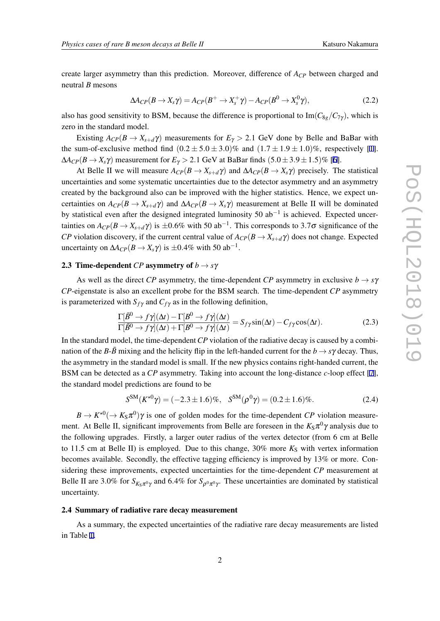create larger asymmetry than this prediction. Moreover, difference of *ACP* between charged and neutral *B* mesons

$$
\Delta A_{CP}(B \to X_s \gamma) = A_{CP}(B^+ \to X_s^+ \gamma) - A_{CP}(B^0 \to X_s^0 \gamma), \qquad (2.2)
$$

also has good sensitivity to BSM, because the difference is proportional to Im( $C_{8g}/C_{7\gamma}$ ), which is zero in the standard model.

Existing  $A_{CP}(B \to X_{s+d} \gamma)$  measurements for  $E_{\gamma} > 2.1$  GeV done by Belle and BaBar with the sum-of-exclusive method find  $(0.2 \pm 5.0 \pm 3.0)\%$  and  $(1.7 \pm 1.9 \pm 1.0)\%$ , respectively [\[1\]](#page-5-0).  $\Delta A_{CP}(B \to X_s \gamma)$  measurement for  $E_{\gamma} > 2.1$  GeV at BaBar finds  $(5.0 \pm 3.9 \pm 1.5)\%$  [[6](#page-5-0)].

At Belle II we will measure  $A_{CP}(B \to X_{s+d} \gamma)$  and  $\Delta A_{CP}(B \to X_s \gamma)$  precisely. The statistical uncertainties and some systematic uncertainties due to the detector asymmetry and an asymmetry created by the background also can be improved with the higher statistics. Hence, we expect uncertainties on  $A_{CP}(B \to X_{s+d}\gamma)$  and  $\Delta A_{CP}(B \to X_s\gamma)$  measurement at Belle II will be dominated by statistical even after the designed integrated luminosity 50 ab*−*<sup>1</sup> is achieved. Expected uncertainties on  $A_{CP}(B \to X_{s+d}\gamma)$  is  $\pm 0.6\%$  with 50 ab<sup>−1</sup>. This corresponds to 3.7 $\sigma$  significance of the *CP* violation discovery, if the current central value of  $A_{CP}(B \to X_{s+d} \gamma)$  does not change. Expected uncertainty on  $\Delta A_{CP}(B \to X_s \gamma)$  is  $\pm 0.4\%$  with 50 ab<sup>-1</sup>.

#### 2.3 Time-dependent *CP* asymmetry of  $b \rightarrow s\gamma$

As well as the direct *CP* asymmetry, the time-dependent *CP* asymmetry in exclusive  $b \rightarrow s\gamma$ *CP*-eigenstate is also an excellent probe for the BSM search. The time-dependent *CP* asymmetry is parameterized with  $S_{f\gamma}$  and  $C_{f\gamma}$  as in the following definition,

$$
\frac{\Gamma[\bar{B}^0 \to f\gamma](\Delta t) - \Gamma[B^0 \to f\gamma](\Delta t)}{\Gamma[\bar{B}^0 \to f\gamma](\Delta t) + \Gamma[B^0 \to f\gamma](\Delta t)} = S_{f\gamma} \sin(\Delta t) - C_{f\gamma} \cos(\Delta t). \tag{2.3}
$$

In the standard model, the time-dependent*CP* violation of the radiative decay is caused by a combination of the *B*- $\bar{B}$  mixing and the helicity flip in the left-handed current for the  $b \rightarrow s\gamma$  decay. Thus, the asymmetry in the standard model is small. If the new physics contains right-handed current, the BSM can be detected as a *CP* asymmetry. Taking into account the long-distance *c*-loop effect [\[7\]](#page-5-0), the standard model predictions are found to be

$$
S^{SM}(K^{*0}\gamma) = (-2.3 \pm 1.6)\%, \quad S^{SM}(\rho^0\gamma) = (0.2 \pm 1.6)\%.
$$
 (2.4)

 $B \to K^{*0}(\to K_S \pi^0)$  *y* is one of golden modes for the time-dependent *CP* violation measurement. At Belle II, significant improvements from Belle are foreseen in the  $K_S\pi^0\gamma$  analysis due to the following upgrades. Firstly, a larger outer radius of the vertex detector (from 6 cm at Belle to 11.5 cm at Belle II) is employed. Due to this change,  $30\%$  more  $K<sub>S</sub>$  with vertex information becomes available. Secondly, the effective tagging efficiency is improved by 13% or more. Considering these improvements, expected uncertainties for the time-dependent *CP* measurement at Belle II are 3.0% for  $S_{K_S\pi^0\gamma}$  and 6.4% for  $S_{\rho^0\pi^0\gamma}$ . These uncertainties are dominated by statistical uncertainty.

#### 2.4 Summary of radiative rare decay measurement

As a summary, the expected uncertainties of the radiative rare decay measurements are listed in Table [1.](#page-3-0)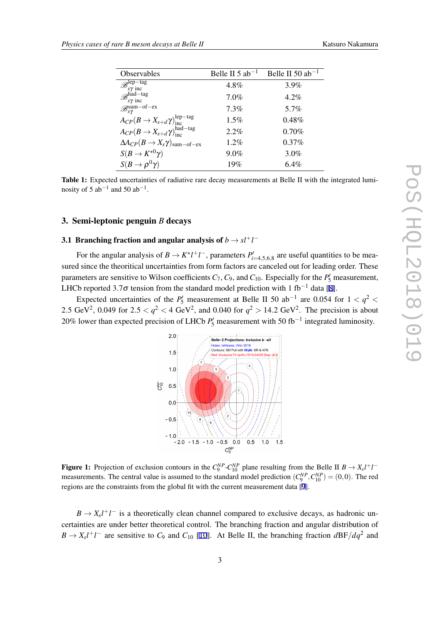<span id="page-3-0"></span>

| Observables                                                        | Belle II $5$ ab <sup>-1</sup> | Belle II 50 $ab^{-1}$ |
|--------------------------------------------------------------------|-------------------------------|-----------------------|
| $\mathscr{B}_{s\gamma}^{lep-tag}$                                  | 4.8%                          | $3.9\%$               |
| $\mathscr{B}_{s\gamma}^{\text{had-tag}}$                           | 7.0%                          | $4.2\%$               |
| $\mathscr{B}^{{\rm sum-of-ex}}_{s\gamma}$                          | 7.3%                          | 5.7%                  |
| $A_{CP}(B \to X_{s+d}\gamma)_{\rm inc}^{\rm lep-tag}$              | $1.5\%$                       | $0.48\%$              |
| $A_{CP}(B \to X_{s+d}\gamma)_{\text{inc}}^{\text{had-tag}}$        | $2.2\%$                       | $0.70\%$              |
| $\Delta A_{CP}(B \to X_s \gamma)_{\text{sum}-\text{of}-\text{ex}}$ | 1.2%                          | $0.37\%$              |
| $S(B \to K^{\star 0} \gamma)$                                      | 9.0%                          | 3.0%                  |
| $S(B \to \rho^0 \gamma)$                                           | 19%                           | $6.4\%$               |

Table 1: Expected uncertainties of radiative rare decay measurements at Belle II with the integrated luminosity of 5 ab*−*<sup>1</sup> and 50 ab*−*<sup>1</sup> .

#### 3. Semi-leptonic penguin *B* decays

## 3.1 Branching fraction and angular analysis of  $b \rightarrow s l^+ l^-$

For the angular analysis of  $B \to K^* l^+ l^-$ , parameters  $P'_{i=4,5,6,8}$  are useful quantities to be measured since the theoritical uncertainties from form factors are canceled out for leading order. These parameters are sensitive to Wilson coefficients  $C_7$ ,  $C_9$ , and  $C_{10}$ . Especially for the  $P'_{5}$  measurement, LHCb reported 3*.*7<sup>σ</sup> tension from the standard model prediction with 1 fb*−*<sup>1</sup> data [\[8](#page-5-0)].

Expected uncertainties of the  $P'_{5}$  measurement at Belle II 50 ab<sup>-1</sup> are 0.054 for  $1 < q^{2} <$ 2.5 GeV<sup>2</sup>, 0.049 for  $2.5 < q^2 < 4$  GeV<sup>2</sup>, and 0.040 for  $q^2 > 14.2$  GeV<sup>2</sup>. The precision is about 20% lower than expected precision of LHCb  $P'_{5}$  measurement with 50 fb<sup>−1</sup> integrated luminosity.



Figure 1: Projection of exclusion contours in the  $C_9^{NP}$ - $C_{10}^{NP}$  plane resulting from the Belle II  $B \to X_s l^+ l^$ measurements. The central value is assumed to the standard model prediction  $(C_9^{NP}, C_{10}^{NP}) = (0,0)$ . The red regions are the constraints from the global fit with the current measurement data [\[9](#page-5-0)].

 $B \to X_s l^+ l^-$  is a theoretically clean channel compared to exclusive decays, as hadronic uncertainties are under better theoretical control. The branching fraction and angular distribution of  $B \rightarrow X_s l^+ l^-$  are sensitive to  $C_9$  and  $C_{10}$  [\[10](#page-5-0)]. At Belle II, the branching fraction  $dBF/dq^2$  and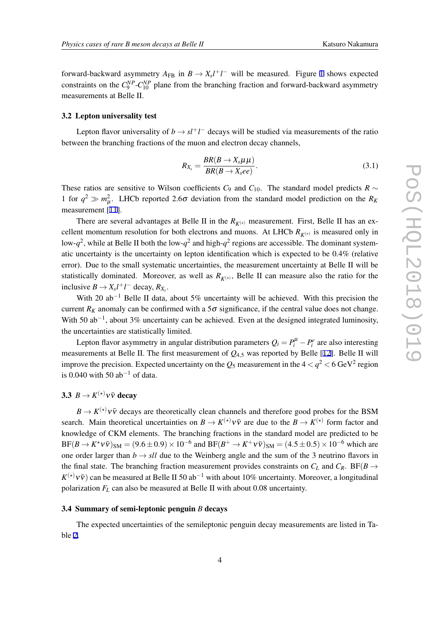forward-backward asymmetry  $A_{FB}$  in  $B \to X_s l^+ l^-$  will be measured. Figure [1](#page-3-0) shows expected constraints on the  $C_9^{NP}$ - $C_{10}^{NP}$  plane from the branching fraction and forward-backward asymmetry measurements at Belle II.

#### 3.2 Lepton universality test

Lepton flavor universality of  $b \rightarrow s l^+ l^-$  decays will be studied via measurements of the ratio between the branching fractions of the muon and electron decay channels,

$$
R_{X_s} = \frac{BR(B \to X_s \mu \mu)}{BR(B \to X_s ee)}.
$$
\n(3.1)

These ratios are sensitive to Wilson coefficients  $C_9$  and  $C_{10}$ . The standard model predicts  $R \sim$ 1 for  $q^2 \gg m_\mu^2$ . LHCb reported 2.6 $\sigma$  deviation from the standard model prediction on the  $R_K$ measurement [[11\]](#page-5-0).

There are several advantages at Belle II in the  $R_{K^{(*)}}$  measurement. First, Belle II has an excellent momentum resolution for both electrons and muons. At LHCb  $R_{K^{(*)}}$  is measured only in low- $q^2$ , while at Belle II both the low- $q^2$  and high- $q^2$  regions are accessible. The dominant systematic uncertainty is the uncertainty on lepton identification which is expected to be 0.4% (relative error). Due to the small systematic uncertainties, the measurement uncertainty at Belle II will be statistically dominated. Moreover, as well as  $R_{K^{(*)}}$ , Belle II can measure also the ratio for the inclusive  $B \to X_s l^+ l^-$  decay,  $R_{X_s}$ .

With 20 ab<sup>-1</sup> Belle II data, about 5% uncertainty will be achieved. With this precision the current  $R_K$  anomaly can be confirmed with a  $5\sigma$  significance, if the central value does not change. With 50 ab*−*<sup>1</sup> , about 3% uncertainty can be achieved. Even at the designed integrated luminosity, the uncertainties are statistically limited.

Lepton flavor asymmetry in angular distribution parameters  $Q_i = P_i^{\mu} - P_i^e$  are also interesting measurements at Belle II. The first measurement of *Q*4*,*<sup>5</sup> was reported by Belle [[12\]](#page-5-0). Belle II will improve the precision. Expected uncertainty on the  $Q_5$  measurement in the 4  $<$   $q^2$   $<$  6 GeV $^2$  region is 0.040 with 50 ab*−*<sup>1</sup> of data.

## 3.3  $B \to K^{(*)} \nu \bar{\nu}$  decay

 $B \to K^{(*)} \nu \bar{\nu}$  decays are theoretically clean channels and therefore good probes for the BSM search. Main theoretical uncertainties on  $B \to K^{(*)} \nu \bar{\nu}$  are due to the  $B \to K^{(*)}$  form factor and knowledge of CKM elements. The branching fractions in the standard model are predicted to be  $BF(B \to K^* \nu \bar{\nu})_{SM} = (9.6 \pm 0.9) \times 10^{-6}$  and  $BF(B^+ \to K^+ \nu \bar{\nu})_{SM} = (4.5 \pm 0.5) \times 10^{-6}$  which are one order larger than  $b \rightarrow s l l$  due to the Weinberg angle and the sum of the 3 neutrino flavors in the final state. The branching fraction measurement provides constraints on  $C_L$  and  $C_R$ . BF( $B \rightarrow \infty$ *K*<sup>(★)</sup> *v*  $\bar{v}$ ) can be measured at Belle II 50 ab<sup>−1</sup> with about 10% uncertainty. Moreover, a longitudinal polarization  $F_L$  can also be measured at Belle II with about 0.08 uncertainty.

#### 3.4 Summary of semi-leptonic penguin *B* decays

The expected uncertainties of the semileptonic penguin decay measurements are listed in Table [2.](#page-5-0)